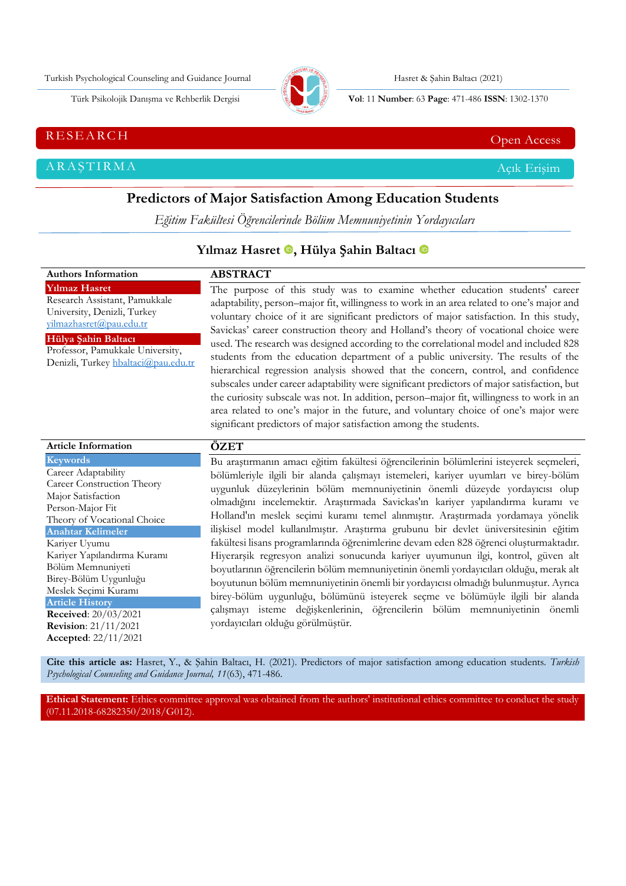Turkish Psychological Counseling and Guidance Journal (Fig. 1986) Hasret & Şahin Baltacı (2021)



Türk Psikolojik Danışma ve Rehberlik Dergisi **Vol**: 11 **Number**: 63 **Page** : 471-486 **ISSN**: 1302-1370

# RESEARCH CHE Open Access And the Contract of the Contract of the Contract of the Contract of the Contract of the Contract of the Contract of the Contract of the Contract of the Contract of the Contract of the Contract of t

ARAŞTIRMA Açık Erişim

# **Predictors of Major Satisfaction Among Education Students**

*Eğitim Fakültesi Öğrencilerinde Bölüm Memnuniyetinin Yordayıcıları*

# Yılmaz Hasret **.**, Hülya Şahin Baltacı **0**

| <b>Authors Information</b>                                                                                                                                                                                                                                                                                                                                                                               | <b>ABSTRACT</b>                                                                                                                                                                                                                                                                                                                                                                                                                                                                                                                                                                                                                                                                                                                                                                                                                                                                                                                                                                                                                                                                            |
|----------------------------------------------------------------------------------------------------------------------------------------------------------------------------------------------------------------------------------------------------------------------------------------------------------------------------------------------------------------------------------------------------------|--------------------------------------------------------------------------------------------------------------------------------------------------------------------------------------------------------------------------------------------------------------------------------------------------------------------------------------------------------------------------------------------------------------------------------------------------------------------------------------------------------------------------------------------------------------------------------------------------------------------------------------------------------------------------------------------------------------------------------------------------------------------------------------------------------------------------------------------------------------------------------------------------------------------------------------------------------------------------------------------------------------------------------------------------------------------------------------------|
| <b>Yılmaz Hasret</b><br>Research Assistant, Pamukkale<br>University, Denizli, Turkey<br>vilmazhasret@pau.edu.tr<br>Hülya Şahin Baltacı<br>Professor, Pamukkale University,<br>Denizli, Turkey hbaltaci@pau.edu.tr                                                                                                                                                                                        | The purpose of this study was to examine whether education students' career<br>adaptability, person-major fit, willingness to work in an area related to one's major and<br>voluntary choice of it are significant predictors of major satisfaction. In this study,<br>Savickas' career construction theory and Holland's theory of vocational choice were<br>used. The research was designed according to the correlational model and included 828<br>students from the education department of a public university. The results of the<br>hierarchical regression analysis showed that the concern, control, and confidence<br>subscales under career adaptability were significant predictors of major satisfaction, but<br>the curiosity subscale was not. In addition, person-major fit, willingness to work in an<br>area related to one's major in the future, and voluntary choice of one's major were<br>significant predictors of major satisfaction among the students.                                                                                                         |
| <b>Article Information</b>                                                                                                                                                                                                                                                                                                                                                                               | ÖZET                                                                                                                                                                                                                                                                                                                                                                                                                                                                                                                                                                                                                                                                                                                                                                                                                                                                                                                                                                                                                                                                                       |
| <b>Keywords</b><br>Career Adaptability<br>Career Construction Theory<br>Major Satisfaction<br>Person-Major Fit<br>Theory of Vocational Choice<br><b>Anahtar Kelimeler</b><br>Kariyer Uyumu<br>Kariyer Yapılandırma Kuramı<br>Bölüm Memnuniyeti<br>Birey-Bölüm Uygunluğu<br>Meslek Seçimi Kuramı<br><b>Article History</b><br>Received: 20/03/2021<br><b>Revision:</b> 21/11/2021<br>Accepted: 22/11/2021 | Bu araştırmanın amacı eğitim fakültesi öğrencilerinin bölümlerini isteyerek seçmeleri,<br>bölümleriyle ilgili bir alanda çalışmayı istemeleri, kariyer uyumları ve birey-bölüm<br>uygunluk düzeylerinin bölüm memnuniyetinin önemli düzeyde yordayıcısı olup<br>olmadığını incelemektir. Araştırmada Savickas'ın kariyer yapılandırma kuramı ve<br>Holland'ın meslek seçimi kuramı temel alınmıştır. Araştırmada yordamaya yönelik<br>ilişkisel model kullanılmıştır. Araştırma grubunu bir devlet üniversitesinin eğitim<br>fakültesi lisans programlarında öğrenimlerine devam eden 828 öğrenci oluşturmaktadır.<br>Hiyerarşik regresyon analizi sonucunda kariyer uyumunun ilgi, kontrol, güven alt<br>boyutlarının öğrencilerin bölüm memnuniyetinin önemli yordayıcıları olduğu, merak alt<br>boyutunun bölüm memnuniyetinin önemli bir yordayıcısı olmadığı bulunmuştur. Ayrıca<br>birey-bölüm uygunluğu, bölümünü isteyerek seçme ve bölümüyle ilgili bir alanda<br>çalışmayı isteme değişkenlerinin, öğrencilerin bölüm memnuniyetinin önemli<br>yordayıcıları olduğu görülmüştür. |

**Cite this article as:** Hasret, Y., & Şahin Baltacı, H. (2021). Predictors of major satisfaction among education students*. Turkish Psychological Counseling and Guidance Journal, 11*(63), 471-486.

**Ethical Statement:** Ethics committee approval was obtained from the authors' institutional ethics committee to conduct the study (07.11.2018-68282350/2018/G012).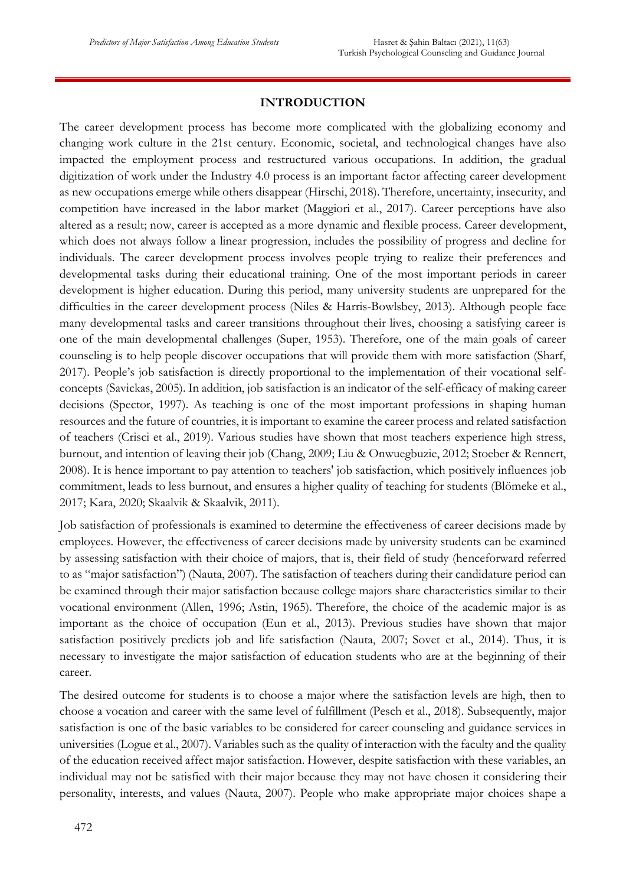## **INTRODUCTION**

The career development process has become more complicated with the globalizing economy and changing work culture in the 21st century. Economic, societal, and technological changes have also impacted the employment process and restructured various occupations. In addition, the gradual digitization of work under the Industry 4.0 process is an important factor affecting career development as new occupations emerge while others disappear (Hirschi, 2018). Therefore, uncertainty, insecurity, and competition have increased in the labor market (Maggiori et al., 2017). Career perceptions have also altered as a result; now, career is accepted as a more dynamic and flexible process. Career development, which does not always follow a linear progression, includes the possibility of progress and decline for individuals. The career development process involves people trying to realize their preferences and developmental tasks during their educational training. One of the most important periods in career development is higher education. During this period, many university students are unprepared for the difficulties in the career development process (Niles & Harris-Bowlsbey, 2013). Although people face many developmental tasks and career transitions throughout their lives, choosing a satisfying career is one of the main developmental challenges (Super, 1953). Therefore, one of the main goals of career counseling is to help people discover occupations that will provide them with more satisfaction (Sharf, 2017). People's job satisfaction is directly proportional to the implementation of their vocational selfconcepts (Savickas, 2005). In addition, job satisfaction is an indicator of the self-efficacy of making career decisions (Spector, 1997). As teaching is one of the most important professions in shaping human resources and the future of countries, it is important to examine the career process and related satisfaction of teachers (Crisci et al., 2019). Various studies have shown that most teachers experience high stress, burnout, and intention of leaving their job (Chang, 2009; Liu & Onwuegbuzie, 2012; Stoeber & Rennert, 2008). It is hence important to pay attention to teachers' job satisfaction, which positively influences job commitment, leads to less burnout, and ensures a higher quality of teaching for students (Blömeke et al., 2017; Kara, 2020; Skaalvik & Skaalvik, 2011).

Job satisfaction of professionals is examined to determine the effectiveness of career decisions made by employees. However, the effectiveness of career decisions made by university students can be examined by assessing satisfaction with their choice of majors, that is, their field of study (henceforward referred to as "major satisfaction") (Nauta, 2007). The satisfaction of teachers during their candidature period can be examined through their major satisfaction because college majors share characteristics similar to their vocational environment (Allen, 1996; Astin, 1965). Therefore, the choice of the academic major is as important as the choice of occupation (Eun et al., 2013). Previous studies have shown that major satisfaction positively predicts job and life satisfaction (Nauta, 2007; Sovet et al., 2014). Thus, it is necessary to investigate the major satisfaction of education students who are at the beginning of their career.

The desired outcome for students is to choose a major where the satisfaction levels are high, then to choose a vocation and career with the same level of fulfillment (Pesch et al., 2018). Subsequently, major satisfaction is one of the basic variables to be considered for career counseling and guidance services in universities (Logue et al., 2007). Variables such as the quality of interaction with the faculty and the quality of the education received affect major satisfaction. However, despite satisfaction with these variables, an individual may not be satisfied with their major because they may not have chosen it considering their personality, interests, and values (Nauta, 2007). People who make appropriate major choices shape a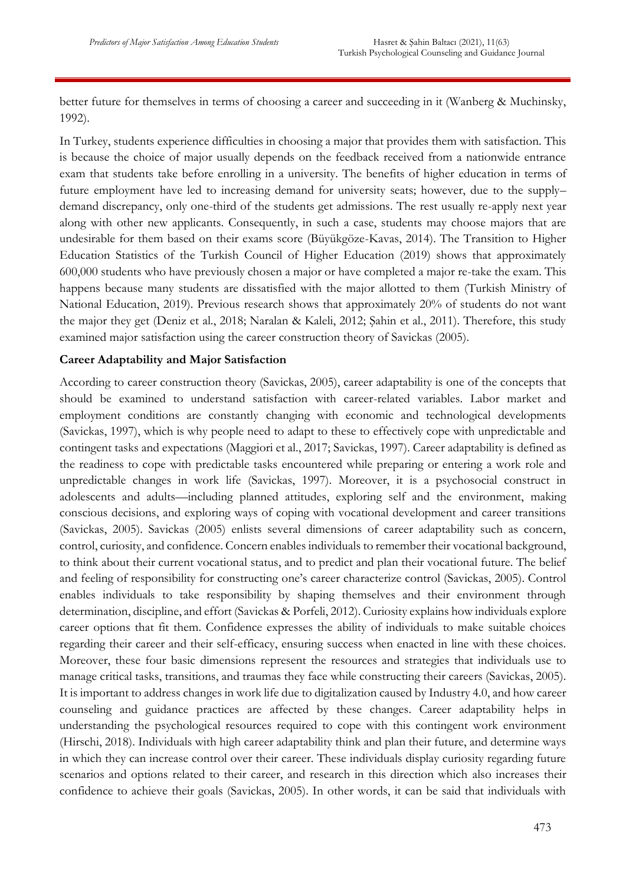better future for themselves in terms of choosing a career and succeeding in it (Wanberg & Muchinsky, 1992).

In Turkey, students experience difficulties in choosing a major that provides them with satisfaction. This is because the choice of major usually depends on the feedback received from a nationwide entrance exam that students take before enrolling in a university. The benefits of higher education in terms of future employment have led to increasing demand for university seats; however, due to the supply– demand discrepancy, only one-third of the students get admissions. The rest usually re-apply next year along with other new applicants. Consequently, in such a case, students may choose majors that are undesirable for them based on their exams score (Büyükgöze-Kavas, 2014). The Transition to Higher Education Statistics of the Turkish Council of Higher Education (2019) shows that approximately 600,000 students who have previously chosen a major or have completed a major re-take the exam. This happens because many students are dissatisfied with the major allotted to them (Turkish Ministry of National Education, 2019). Previous research shows that approximately 20% of students do not want the major they get (Deniz et al., 2018; Naralan & Kaleli, 2012; Şahin et al., 2011). Therefore, this study examined major satisfaction using the career construction theory of Savickas (2005).

#### **Career Adaptability and Major Satisfaction**

According to career construction theory (Savickas, 2005), career adaptability is one of the concepts that should be examined to understand satisfaction with career-related variables. Labor market and employment conditions are constantly changing with economic and technological developments (Savickas, 1997), which is why people need to adapt to these to effectively cope with unpredictable and contingent tasks and expectations (Maggiori et al., 2017; Savickas, 1997). Career adaptability is defined as the readiness to cope with predictable tasks encountered while preparing or entering a work role and unpredictable changes in work life (Savickas, 1997). Moreover, it is a psychosocial construct in adolescents and adults—including planned attitudes, exploring self and the environment, making conscious decisions, and exploring ways of coping with vocational development and career transitions (Savickas, 2005). Savickas (2005) enlists several dimensions of career adaptability such as concern, control, curiosity, and confidence. Concern enables individuals to remember their vocational background, to think about their current vocational status, and to predict and plan their vocational future. The belief and feeling of responsibility for constructing one's career characterize control (Savickas, 2005). Control enables individuals to take responsibility by shaping themselves and their environment through determination, discipline, and effort (Savickas & Porfeli, 2012). Curiosity explains how individuals explore career options that fit them. Confidence expresses the ability of individuals to make suitable choices regarding their career and their self-efficacy, ensuring success when enacted in line with these choices. Moreover, these four basic dimensions represent the resources and strategies that individuals use to manage critical tasks, transitions, and traumas they face while constructing their careers (Savickas, 2005). It is important to address changes in work life due to digitalization caused by Industry 4.0, and how career counseling and guidance practices are affected by these changes. Career adaptability helps in understanding the psychological resources required to cope with this contingent work environment (Hirschi, 2018). Individuals with high career adaptability think and plan their future, and determine ways in which they can increase control over their career. These individuals display curiosity regarding future scenarios and options related to their career, and research in this direction which also increases their confidence to achieve their goals (Savickas, 2005). In other words, it can be said that individuals with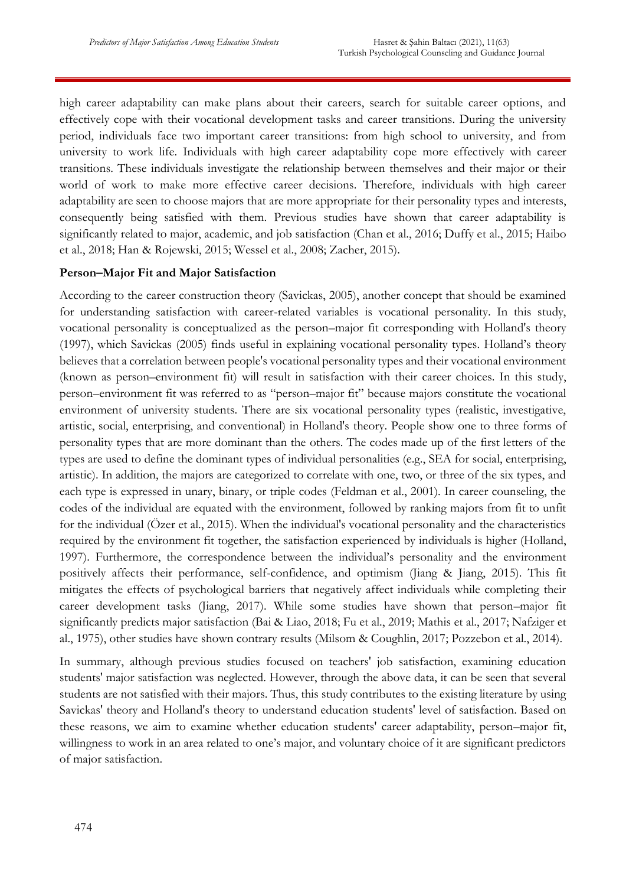high career adaptability can make plans about their careers, search for suitable career options, and effectively cope with their vocational development tasks and career transitions. During the university period, individuals face two important career transitions: from high school to university, and from university to work life. Individuals with high career adaptability cope more effectively with career transitions. These individuals investigate the relationship between themselves and their major or their world of work to make more effective career decisions. Therefore, individuals with high career adaptability are seen to choose majors that are more appropriate for their personality types and interests, consequently being satisfied with them. Previous studies have shown that career adaptability is significantly related to major, academic, and job satisfaction (Chan et al., 2016; Duffy et al., 2015; Haibo et al., 2018; Han & Rojewski, 2015; Wessel et al., 2008; Zacher, 2015).

#### **Person–Major Fit and Major Satisfaction**

According to the career construction theory (Savickas, 2005), another concept that should be examined for understanding satisfaction with career-related variables is vocational personality. In this study, vocational personality is conceptualized as the person–major fit corresponding with Holland's theory (1997), which Savickas (2005) finds useful in explaining vocational personality types. Holland's theory believes that a correlation between people's vocational personality types and their vocational environment (known as person–environment fit) will result in satisfaction with their career choices. In this study, person–environment fit was referred to as "person–major fit" because majors constitute the vocational environment of university students. There are six vocational personality types (realistic, investigative, artistic, social, enterprising, and conventional) in Holland's theory. People show one to three forms of personality types that are more dominant than the others. The codes made up of the first letters of the types are used to define the dominant types of individual personalities (e.g., SEA for social, enterprising, artistic). In addition, the majors are categorized to correlate with one, two, or three of the six types, and each type is expressed in unary, binary, or triple codes (Feldman et al., 2001). In career counseling, the codes of the individual are equated with the environment, followed by ranking majors from fit to unfit for the individual (Özer et al., 2015). When the individual's vocational personality and the characteristics required by the environment fit together, the satisfaction experienced by individuals is higher (Holland, 1997). Furthermore, the correspondence between the individual's personality and the environment positively affects their performance, self-confidence, and optimism (Jiang & Jiang, 2015). This fit mitigates the effects of psychological barriers that negatively affect individuals while completing their career development tasks (Jiang, 2017). While some studies have shown that person–major fit significantly predicts major satisfaction (Bai & Liao, 2018; Fu et al., 2019; Mathis et al., 2017; Nafziger et al., 1975), other studies have shown contrary results (Milsom & Coughlin, 2017; Pozzebon et al., 2014).

In summary, although previous studies focused on teachers' job satisfaction, examining education students' major satisfaction was neglected. However, through the above data, it can be seen that several students are not satisfied with their majors. Thus, this study contributes to the existing literature by using Savickas' theory and Holland's theory to understand education students' level of satisfaction. Based on these reasons, we aim to examine whether education students' career adaptability, person–major fit, willingness to work in an area related to one's major, and voluntary choice of it are significant predictors of major satisfaction.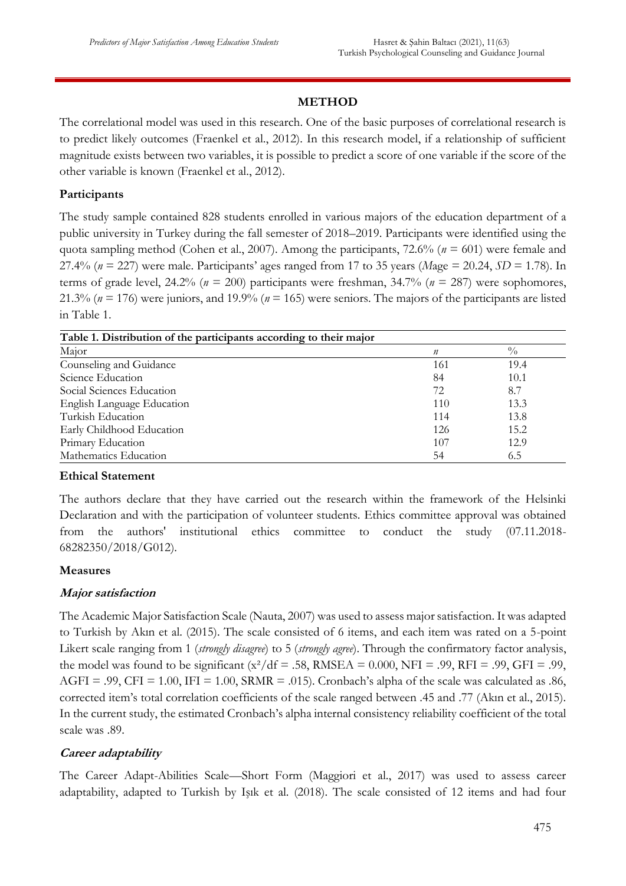# **METHOD**

The correlational model was used in this research. One of the basic purposes of correlational research is to predict likely outcomes (Fraenkel et al., 2012). In this research model, if a relationship of sufficient magnitude exists between two variables, it is possible to predict a score of one variable if the score of the other variable is known (Fraenkel et al., 2012).

# **Participants**

The study sample contained 828 students enrolled in various majors of the education department of a public university in Turkey during the fall semester of 2018–2019. Participants were identified using the quota sampling method (Cohen et al., 2007). Among the participants, 72.6% (*n* = 601) were female and 27.4% (*n* = 227) were male. Participants' ages ranged from 17 to 35 years (*M*age = 20.24, *SD* = 1.78). In terms of grade level, 24.2% ( $n = 200$ ) participants were freshman, 34.7% ( $n = 287$ ) were sophomores, 21.3% (*n* = 176) were juniors, and 19.9% (*n* = 165) were seniors. The majors of the participants are listed in Table 1.

| Table 1. Distribution of the participants according to their major |                  |               |
|--------------------------------------------------------------------|------------------|---------------|
| Major                                                              | $\boldsymbol{n}$ | $\frac{0}{0}$ |
| Counseling and Guidance                                            | 161              | 19.4          |
| Science Education                                                  | 84               | 10.1          |
| Social Sciences Education                                          | 72               | 8.7           |
| English Language Education                                         | 110              | 13.3          |
| Turkish Education                                                  | 114              | 13.8          |
| Early Childhood Education                                          | 126              | 15.2          |
| Primary Education                                                  | 107              | 12.9          |
| Mathematics Education                                              | 54               | 6.5           |

#### **Ethical Statement**

The authors declare that they have carried out the research within the framework of the Helsinki Declaration and with the participation of volunteer students. Ethics committee approval was obtained from the authors' institutional ethics committee to conduct the study (07.11.2018- 68282350/2018/G012).

#### **Measures**

#### **Major satisfaction**

The Academic Major Satisfaction Scale (Nauta, 2007) was used to assess major satisfaction. It was adapted to Turkish by Akın et al. (2015). The scale consisted of 6 items, and each item was rated on a 5-point Likert scale ranging from 1 (*strongly disagree*) to 5 (*strongly agree*). Through the confirmatory factor analysis, the model was found to be significant  $(x^2/df = .58, RMSEA = 0.000, NFI = .99, RFI = .99, GFI = .99,$  $AGFI = .99$ ,  $CFI = 1.00$ ,  $IFI = 1.00$ ,  $SRMR = .015$ ). Cronbach's alpha of the scale was calculated as .86, corrected item's total correlation coefficients of the scale ranged between .45 and .77 (Akın et al., 2015). In the current study, the estimated Cronbach's alpha internal consistency reliability coefficient of the total scale was .89.

#### **Career adaptability**

The Career Adapt-Abilities Scale—Short Form (Maggiori et al., 2017) was used to assess career adaptability, adapted to Turkish by Işık et al. (2018). The scale consisted of 12 items and had four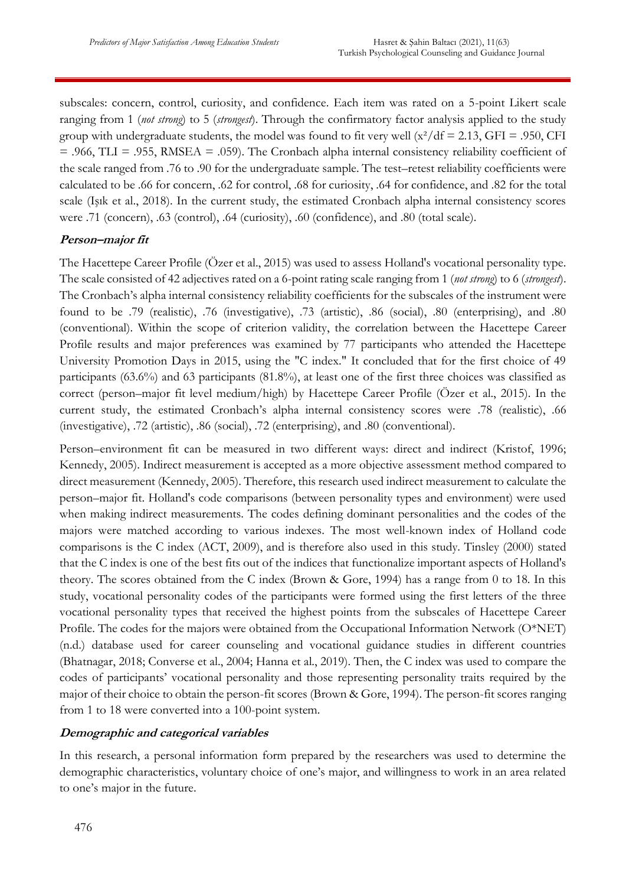subscales: concern, control, curiosity, and confidence. Each item was rated on a 5-point Likert scale ranging from 1 (*not strong*) to 5 (*strongest*). Through the confirmatory factor analysis applied to the study group with undergraduate students, the model was found to fit very well  $\frac{x^2}{df} = 2.13$ , GFI = .950, CFI  $= .966, TLI = .955, RMSEA = .059$ . The Cronbach alpha internal consistency reliability coefficient of the scale ranged from .76 to .90 for the undergraduate sample. The test–retest reliability coefficients were calculated to be .66 for concern, .62 for control, .68 for curiosity, .64 for confidence, and .82 for the total scale (Işık et al., 2018). In the current study, the estimated Cronbach alpha internal consistency scores were .71 (concern), .63 (control), .64 (curiosity), .60 (confidence), and .80 (total scale).

# **Person–major fit**

The Hacettepe Career Profile (Özer et al., 2015) was used to assess Holland's vocational personality type. The scale consisted of 42 adjectives rated on a 6-point rating scale ranging from 1 (*not strong*) to 6 (*strongest*). The Cronbach's alpha internal consistency reliability coefficients for the subscales of the instrument were found to be .79 (realistic), .76 (investigative), .73 (artistic), .86 (social), .80 (enterprising), and .80 (conventional). Within the scope of criterion validity, the correlation between the Hacettepe Career Profile results and major preferences was examined by 77 participants who attended the Hacettepe University Promotion Days in 2015, using the "C index." It concluded that for the first choice of 49 participants (63.6%) and 63 participants (81.8%), at least one of the first three choices was classified as correct (person–major fit level medium/high) by Hacettepe Career Profile (Özer et al., 2015). In the current study, the estimated Cronbach's alpha internal consistency scores were .78 (realistic), .66 (investigative), .72 (artistic), .86 (social), .72 (enterprising), and .80 (conventional).

Person–environment fit can be measured in two different ways: direct and indirect (Kristof, 1996; Kennedy, 2005). Indirect measurement is accepted as a more objective assessment method compared to direct measurement (Kennedy, 2005). Therefore, this research used indirect measurement to calculate the person–major fit. Holland's code comparisons (between personality types and environment) were used when making indirect measurements. The codes defining dominant personalities and the codes of the majors were matched according to various indexes. The most well-known index of Holland code comparisons is the C index (ACT, 2009), and is therefore also used in this study. Tinsley (2000) stated that the C index is one of the best fits out of the indices that functionalize important aspects of Holland's theory. The scores obtained from the C index (Brown & Gore, 1994) has a range from 0 to 18. In this study, vocational personality codes of the participants were formed using the first letters of the three vocational personality types that received the highest points from the subscales of Hacettepe Career Profile. The codes for the majors were obtained from the Occupational Information Network (O\*NET) (n.d.) database used for career counseling and vocational guidance studies in different countries (Bhatnagar, 2018; Converse et al., 2004; Hanna et al., 2019). Then, the C index was used to compare the codes of participants' vocational personality and those representing personality traits required by the major of their choice to obtain the person-fit scores (Brown & Gore, 1994). The person-fit scores ranging from 1 to 18 were converted into a 100-point system.

#### **Demographic and categorical variables**

In this research, a personal information form prepared by the researchers was used to determine the demographic characteristics, voluntary choice of one's major, and willingness to work in an area related to one's major in the future.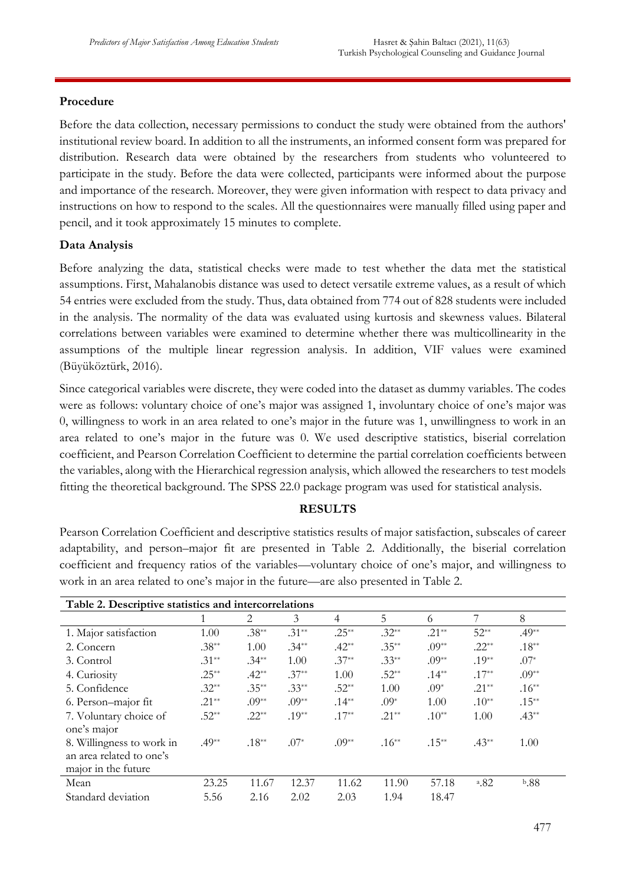# **Procedure**

Before the data collection, necessary permissions to conduct the study were obtained from the authors' institutional review board. In addition to all the instruments, an informed consent form was prepared for distribution. Research data were obtained by the researchers from students who volunteered to participate in the study. Before the data were collected, participants were informed about the purpose and importance of the research. Moreover, they were given information with respect to data privacy and instructions on how to respond to the scales. All the questionnaires were manually filled using paper and pencil, and it took approximately 15 minutes to complete.

# **Data Analysis**

Before analyzing the data, statistical checks were made to test whether the data met the statistical assumptions. First, Mahalanobis distance was used to detect versatile extreme values, as a result of which 54 entries were excluded from the study. Thus, data obtained from 774 out of 828 students were included in the analysis. The normality of the data was evaluated using kurtosis and skewness values. Bilateral correlations between variables were examined to determine whether there was multicollinearity in the assumptions of the multiple linear regression analysis. In addition, VIF values were examined (Büyüköztürk, 2016).

Since categorical variables were discrete, they were coded into the dataset as dummy variables. The codes were as follows: voluntary choice of one's major was assigned 1, involuntary choice of one's major was 0, willingness to work in an area related to one's major in the future was 1, unwillingness to work in an area related to one's major in the future was 0. We used descriptive statistics, biserial correlation coefficient, and Pearson Correlation Coefficient to determine the partial correlation coefficients between the variables, along with the Hierarchical regression analysis, which allowed the researchers to test models fitting the theoretical background. The SPSS 22.0 package program was used for statistical analysis.

#### **RESULTS**

Pearson Correlation Coefficient and descriptive statistics results of major satisfaction, subscales of career adaptability, and person–major fit are presented in Table 2. Additionally, the biserial correlation coefficient and frequency ratios of the variables—voluntary choice of one's major, and willingness to work in an area related to one's major in the future—are also presented in Table 2.

| Table 2. Descriptive statistics and intercorrelations |          |          |         |                |          |          |            |          |
|-------------------------------------------------------|----------|----------|---------|----------------|----------|----------|------------|----------|
|                                                       |          | 2        | 3       | $\overline{4}$ | 5        | 6        | 7          | 8        |
| 1. Major satisfaction                                 | 1.00     | $.38**$  | $.31**$ | $.25***$       | $.32**$  | $.21**$  | $52**$     | $.49**$  |
| 2. Concern                                            | $.38**$  | 1.00     | $.34**$ | $.42**$        | $.35***$ | $.09**$  | $.22**$    | $.18**$  |
| 3. Control                                            | $.31**$  | $.34**$  | 1.00    | $.37**$        | $.33**$  | $.09**$  | $.19**$    | $.07*$   |
| 4. Curiosity                                          | $.25***$ | $.42**$  | $.37**$ | 1.00           | $.52**$  | $.14***$ | $.17**$    | $.09**$  |
| 5. Confidence                                         | $.32**$  | $.35***$ | $.33**$ | $.52**$        | 1.00     | $.09*$   | $.21**$    | $.16**$  |
| 6. Person-major fit                                   | $.21**$  | $.09**$  | $.09**$ | $.14***$       | $.09*$   | 1.00     | $.10**$    | $.15***$ |
| 7. Voluntary choice of                                | $.52**$  | $.22**$  | $.19**$ | $.17**$        | $.21**$  | $.10**$  | 1.00       | $.43**$  |
| one's major                                           |          |          |         |                |          |          |            |          |
| 8. Willingness to work in                             | $.49**$  | $.18***$ | $.07*$  | $.09**$        | $.16**$  | $.15***$ | $.43**$    | 1.00     |
| an area related to one's                              |          |          |         |                |          |          |            |          |
| major in the future                                   |          |          |         |                |          |          |            |          |
| Mean                                                  | 23.25    | 11.67    | 12.37   | 11.62          | 11.90    | 57.18    | $^{a}$ .82 | b.88     |
| Standard deviation                                    | 5.56     | 2.16     | 2.02    | 2.03           | 1.94     | 18.47    |            |          |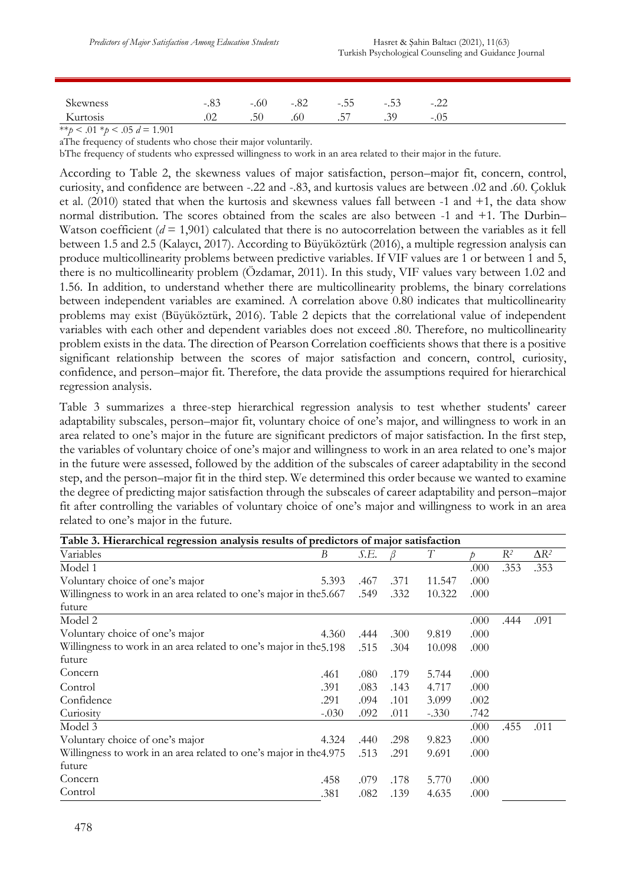| Skewness | -.89    | $-.60$        | $-.82$ | $-.55$ | -.วว | $-.44$ |
|----------|---------|---------------|--------|--------|------|--------|
| Kurtosis | $\cdot$ | 50<br>$\cdot$ | .60    | .57    | .39  | $-.05$ |

\*\**p* < .01 \**p* < .05 *d* = 1.901

aThe frequency of students who chose their major voluntarily.

bThe frequency of students who expressed willingness to work in an area related to their major in the future.

According to Table 2, the skewness values of major satisfaction, person–major fit, concern, control, curiosity, and confidence are between -.22 and -.83, and kurtosis values are between .02 and .60. Çokluk et al. (2010) stated that when the kurtosis and skewness values fall between -1 and +1, the data show normal distribution. The scores obtained from the scales are also between -1 and +1. The Durbin– Watson coefficient (*d* = 1,901) calculated that there is no autocorrelation between the variables as it fell between 1.5 and 2.5 (Kalaycı, 2017). According to Büyüköztürk (2016), a multiple regression analysis can produce multicollinearity problems between predictive variables. If VIF values are 1 or between 1 and 5, there is no multicollinearity problem (Özdamar, 2011). In this study, VIF values vary between 1.02 and 1.56. In addition, to understand whether there are multicollinearity problems, the binary correlations between independent variables are examined. A correlation above 0.80 indicates that multicollinearity problems may exist (Büyüköztürk, 2016). Table 2 depicts that the correlational value of independent variables with each other and dependent variables does not exceed .80. Therefore, no multicollinearity problem exists in the data. The direction of Pearson Correlation coefficients shows that there is a positive significant relationship between the scores of major satisfaction and concern, control, curiosity, confidence, and person–major fit. Therefore, the data provide the assumptions required for hierarchical regression analysis.

Table 3 summarizes a three-step hierarchical regression analysis to test whether students' career adaptability subscales, person–major fit, voluntary choice of one's major, and willingness to work in an area related to one's major in the future are significant predictors of major satisfaction. In the first step, the variables of voluntary choice of one's major and willingness to work in an area related to one's major in the future were assessed, followed by the addition of the subscales of career adaptability in the second step, and the person–major fit in the third step. We determined this order because we wanted to examine the degree of predicting major satisfaction through the subscales of career adaptability and person–major fit after controlling the variables of voluntary choice of one's major and willingness to work in an area related to one's major in the future.

| Table 3. Hierarchical regression analysis results of predictors of major satisfaction |         |      |      |         |      |       |              |
|---------------------------------------------------------------------------------------|---------|------|------|---------|------|-------|--------------|
| Variables                                                                             | B       | S.E. |      | T       |      | $R^2$ | $\Delta R^2$ |
| Model 1                                                                               |         |      |      |         | .000 | .353  | .353         |
| Voluntary choice of one's major                                                       | 5.393   | .467 | .371 | 11.547  | .000 |       |              |
| Willingness to work in an area related to one's major in the 5.667                    |         | .549 | .332 | 10.322  | .000 |       |              |
| future                                                                                |         |      |      |         |      |       |              |
| Model 2                                                                               |         |      |      |         | .000 | .444  | .091         |
| Voluntary choice of one's major                                                       | 4.360   | .444 | .300 | 9.819   | .000 |       |              |
| Willingness to work in an area related to one's major in the 5.198                    |         | .515 | .304 | 10.098  | .000 |       |              |
| future                                                                                |         |      |      |         |      |       |              |
| Concern                                                                               | .461    | .080 | .179 | 5.744   | .000 |       |              |
| Control                                                                               | .391    | .083 | .143 | 4.717   | .000 |       |              |
| Confidence                                                                            | .291    | .094 | .101 | 3.099   | .002 |       |              |
| Curiosity                                                                             | $-.030$ | .092 | .011 | $-.330$ | .742 |       |              |
| Model 3                                                                               |         |      |      |         | .000 | .455  | .011         |
| Voluntary choice of one's major                                                       | 4.324   | .440 | .298 | 9.823   | .000 |       |              |
| Willingness to work in an area related to one's major in the 4.975                    |         | .513 | .291 | 9.691   | .000 |       |              |
| future                                                                                |         |      |      |         |      |       |              |
| Concern                                                                               | .458    | .079 | .178 | 5.770   | .000 |       |              |
| Control                                                                               | .381    | .082 | .139 | 4.635   | .000 |       |              |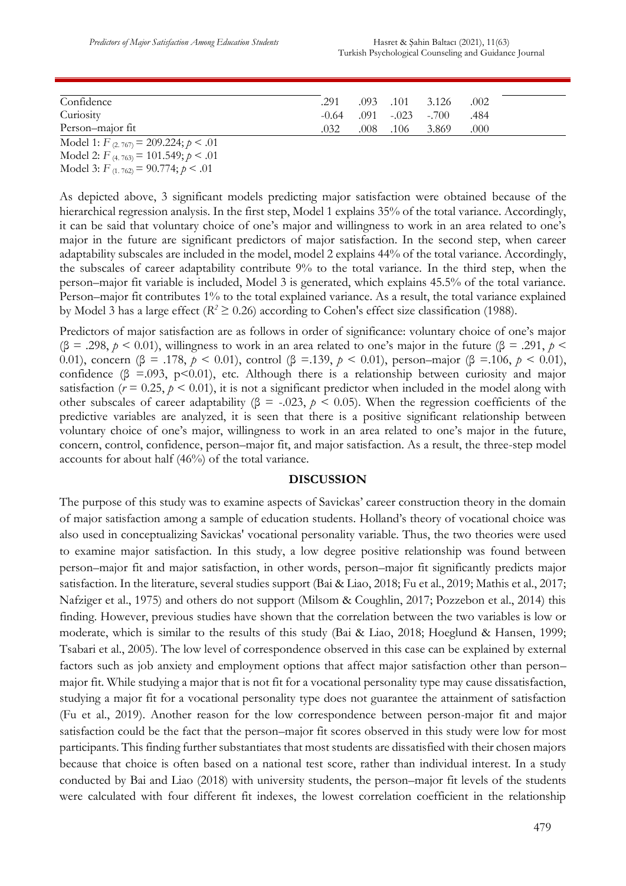| Confidence                                | .291 | $.093$ $.101$ $.3.126$ |                                | .002 |
|-------------------------------------------|------|------------------------|--------------------------------|------|
| Curiosity                                 |      |                        | $-0.64$ .091 $-0.023$ $-0.700$ | .484 |
| Person-major fit                          | .032 | .008 .106 3.869        |                                | .000 |
| Model 1: $F_{(2.767)} = 209.224; p < .01$ |      |                        |                                |      |

Model 2: *F* (4. 763)= 101.549; *p* < .01 Model 3: *F* (1. 762)= 90.774; *p* < .01

As depicted above, 3 significant models predicting major satisfaction were obtained because of the hierarchical regression analysis. In the first step, Model 1 explains 35% of the total variance. Accordingly, it can be said that voluntary choice of one's major and willingness to work in an area related to one's major in the future are significant predictors of major satisfaction. In the second step, when career adaptability subscales are included in the model, model 2 explains 44% of the total variance. Accordingly, the subscales of career adaptability contribute 9% to the total variance. In the third step, when the person–major fit variable is included, Model 3 is generated, which explains 45.5% of the total variance. Person–major fit contributes 1% to the total explained variance. As a result, the total variance explained by Model 3 has a large effect ( $R^2 \ge 0.26$ ) according to Cohen's effect size classification (1988).

Predictors of major satisfaction are as follows in order of significance: voluntary choice of one's major (β = .298, *p* < 0.01), willingness to work in an area related to one's major in the future (β = .291, *p* < 0.01), concern (β = .178, *p* < 0.01), control (β =.139, *p* < 0.01), person–major (β =.106, *p* < 0.01), confidence ( $\beta$  =.093, p<0.01), etc. Although there is a relationship between curiosity and major satisfaction ( $r = 0.25$ ,  $p < 0.01$ ), it is not a significant predictor when included in the model along with other subscales of career adaptability (β = -.023,  $p$  < 0.05). When the regression coefficients of the predictive variables are analyzed, it is seen that there is a positive significant relationship between voluntary choice of one's major, willingness to work in an area related to one's major in the future, concern, control, confidence, person–major fit, and major satisfaction. As a result, the three-step model accounts for about half (46%) of the total variance.

#### **DISCUSSION**

The purpose of this study was to examine aspects of Savickas' career construction theory in the domain of major satisfaction among a sample of education students. Holland's theory of vocational choice was also used in conceptualizing Savickas' vocational personality variable. Thus, the two theories were used to examine major satisfaction. In this study, a low degree positive relationship was found between person–major fit and major satisfaction, in other words, person–major fit significantly predicts major satisfaction. In the literature, several studies support (Bai & Liao, 2018; Fu et al., 2019; Mathis et al., 2017; Nafziger et al., 1975) and others do not support (Milsom & Coughlin, 2017; Pozzebon et al., 2014) this finding. However, previous studies have shown that the correlation between the two variables is low or moderate, which is similar to the results of this study (Bai & Liao, 2018; Hoeglund & Hansen, 1999; Tsabari et al., 2005). The low level of correspondence observed in this case can be explained by external factors such as job anxiety and employment options that affect major satisfaction other than person– major fit. While studying a major that is not fit for a vocational personality type may cause dissatisfaction, studying a major fit for a vocational personality type does not guarantee the attainment of satisfaction (Fu et al., 2019). Another reason for the low correspondence between person-major fit and major satisfaction could be the fact that the person–major fit scores observed in this study were low for most participants. This finding further substantiates that most students are dissatisfied with their chosen majors because that choice is often based on a national test score, rather than individual interest. In a study conducted by Bai and Liao (2018) with university students, the person–major fit levels of the students were calculated with four different fit indexes, the lowest correlation coefficient in the relationship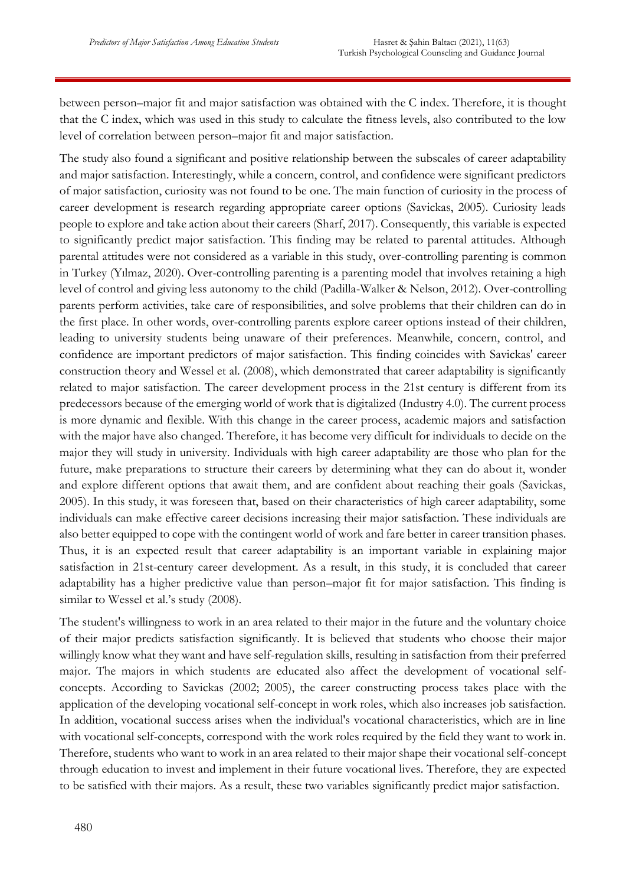between person–major fit and major satisfaction was obtained with the C index. Therefore, it is thought that the C index, which was used in this study to calculate the fitness levels, also contributed to the low level of correlation between person–major fit and major satisfaction.

The study also found a significant and positive relationship between the subscales of career adaptability and major satisfaction. Interestingly, while a concern, control, and confidence were significant predictors of major satisfaction, curiosity was not found to be one. The main function of curiosity in the process of career development is research regarding appropriate career options (Savickas, 2005). Curiosity leads people to explore and take action about their careers (Sharf, 2017). Consequently, this variable is expected to significantly predict major satisfaction. This finding may be related to parental attitudes. Although parental attitudes were not considered as a variable in this study, over-controlling parenting is common in Turkey (Yılmaz, 2020). Over-controlling parenting is a parenting model that involves retaining a high level of control and giving less autonomy to the child (Padilla-Walker & Nelson, 2012). Over-controlling parents perform activities, take care of responsibilities, and solve problems that their children can do in the first place. In other words, over-controlling parents explore career options instead of their children, leading to university students being unaware of their preferences. Meanwhile, concern, control, and confidence are important predictors of major satisfaction. This finding coincides with Savickas' career construction theory and Wessel et al. (2008), which demonstrated that career adaptability is significantly related to major satisfaction. The career development process in the 21st century is different from its predecessors because of the emerging world of work that is digitalized (Industry 4.0). The current process is more dynamic and flexible. With this change in the career process, academic majors and satisfaction with the major have also changed. Therefore, it has become very difficult for individuals to decide on the major they will study in university. Individuals with high career adaptability are those who plan for the future, make preparations to structure their careers by determining what they can do about it, wonder and explore different options that await them, and are confident about reaching their goals (Savickas, 2005). In this study, it was foreseen that, based on their characteristics of high career adaptability, some individuals can make effective career decisions increasing their major satisfaction. These individuals are also better equipped to cope with the contingent world of work and fare better in career transition phases. Thus, it is an expected result that career adaptability is an important variable in explaining major satisfaction in 21st-century career development. As a result, in this study, it is concluded that career adaptability has a higher predictive value than person–major fit for major satisfaction. This finding is similar to Wessel et al.'s study (2008).

The student's willingness to work in an area related to their major in the future and the voluntary choice of their major predicts satisfaction significantly. It is believed that students who choose their major willingly know what they want and have self-regulation skills, resulting in satisfaction from their preferred major. The majors in which students are educated also affect the development of vocational selfconcepts. According to Savickas (2002; 2005), the career constructing process takes place with the application of the developing vocational self-concept in work roles, which also increases job satisfaction. In addition, vocational success arises when the individual's vocational characteristics, which are in line with vocational self-concepts, correspond with the work roles required by the field they want to work in. Therefore, students who want to work in an area related to their major shape their vocational self-concept through education to invest and implement in their future vocational lives. Therefore, they are expected to be satisfied with their majors. As a result, these two variables significantly predict major satisfaction.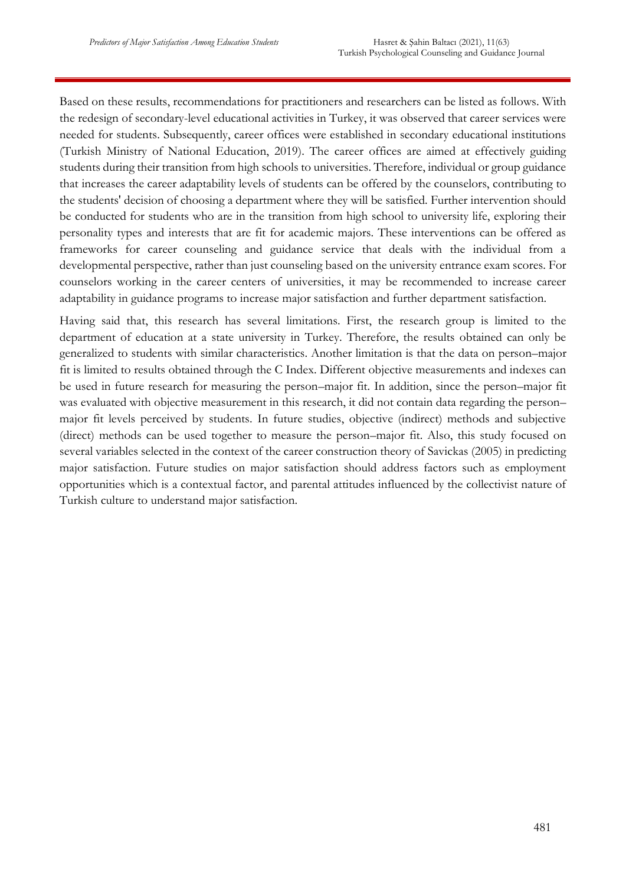Based on these results, recommendations for practitioners and researchers can be listed as follows. With the redesign of secondary-level educational activities in Turkey, it was observed that career services were needed for students. Subsequently, career offices were established in secondary educational institutions (Turkish Ministry of National Education, 2019). The career offices are aimed at effectively guiding students during their transition from high schools to universities. Therefore, individual or group guidance that increases the career adaptability levels of students can be offered by the counselors, contributing to the students' decision of choosing a department where they will be satisfied. Further intervention should be conducted for students who are in the transition from high school to university life, exploring their personality types and interests that are fit for academic majors. These interventions can be offered as frameworks for career counseling and guidance service that deals with the individual from a developmental perspective, rather than just counseling based on the university entrance exam scores. For counselors working in the career centers of universities, it may be recommended to increase career adaptability in guidance programs to increase major satisfaction and further department satisfaction.

Having said that, this research has several limitations. First, the research group is limited to the department of education at a state university in Turkey. Therefore, the results obtained can only be generalized to students with similar characteristics. Another limitation is that the data on person–major fit is limited to results obtained through the C Index. Different objective measurements and indexes can be used in future research for measuring the person–major fit. In addition, since the person–major fit was evaluated with objective measurement in this research, it did not contain data regarding the person– major fit levels perceived by students. In future studies, objective (indirect) methods and subjective (direct) methods can be used together to measure the person–major fit. Also, this study focused on several variables selected in the context of the career construction theory of Savickas (2005) in predicting major satisfaction. Future studies on major satisfaction should address factors such as employment opportunities which is a contextual factor, and parental attitudes influenced by the collectivist nature of Turkish culture to understand major satisfaction.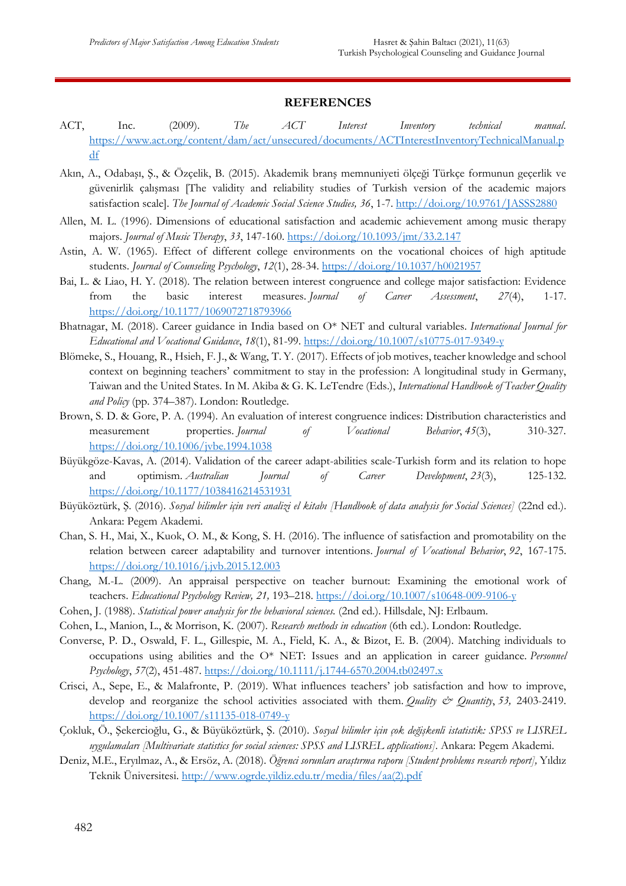#### **REFERENCES**

- ACT, Inc. (2009). *The ACT Interest Inventory technical manual*. [https://www.act.org/content/dam/act/unsecured/documents/ACTInterestInventoryTechnicalManual.p](https://www.act.org/content/dam/act/unsecured/documents/ACTInterestInventoryTechnicalManual.pdf) [df](https://www.act.org/content/dam/act/unsecured/documents/ACTInterestInventoryTechnicalManual.pdf)
- Akın, A., Odabaşı, Ş., & Özçelik, B. (2015). Akademik branş memnuniyeti ölçeği Türkçe formunun geçerlik ve güvenirlik çalışması [The validity and reliability studies of Turkish version of the academic majors satisfaction scale]. *The Journal of Academic Social Science Studies, 36*, 1-7[. http://doi.org/10.9761/JASSS2880](http://doi.org/10.9761/JASSS2880)
- Allen, M. L. (1996). Dimensions of educational satisfaction and academic achievement among music therapy majors. *Journal of Music Therapy*, *33*, 147-160.<https://doi.org/10.1093/jmt/33.2.147>
- Astin, A. W. (1965). Effect of different college environments on the vocational choices of high aptitude students. *Journal of Counseling Psychology*, *12*(1), 28-34. [https://doi.org/10.1037/h0021957](https://psycnet.apa.org/doi/10.1037/h0021957)
- Bai, L. & Liao, H. Y. (2018). The relation between interest congruence and college major satisfaction: Evidence from the basic interest measures. *Journal of Career Assessment*, *27*(4), 1-17. [https://doi.org/10.1177/1069072718793966](https://doi.org/10.1177%2F1069072718793966)
- Bhatnagar, M. (2018). Career guidance in India based on O\* NET and cultural variables. *International Journal for Educational and Vocational Guidance*, *18*(1), 81-99.<https://doi.org/10.1007/s10775-017-9349-y>
- Blömeke, S., Houang, R., Hsieh, F. J., & Wang, T. Y. (2017). Effects of job motives, teacher knowledge and school context on beginning teachers' commitment to stay in the profession: A longitudinal study in Germany, Taiwan and the United States. In M. Akiba & G. K. LeTendre (Eds.), *International Handbook of Teacher Quality and Policy* (pp. 374–387). London: Routledge.
- Brown, S. D. & Gore, P. A. (1994). An evaluation of interest congruence indices: Distribution characteristics and measurement properties. *Journal* of *Vocational* Behavior, 45(3), 310-327. <https://doi.org/10.1006/jvbe.1994.1038>
- Büyükgöze-Kavas, A. (2014). Validation of the career adapt-abilities scale-Turkish form and its relation to hope and optimism. *Australian Journal of Career Development*, *23*(3), 125-132. [https://doi.org/10.1177/1038416214531931](https://doi.org/10.1177%2F1038416214531931)
- Büyüköztürk, Ş. (2016). *Sosyal bilimler için veri analizi el kitabı [Handbook of data analysis for Social Sciences]* (22nd ed.). Ankara: Pegem Akademi.
- Chan, S. H., Mai, X., Kuok, O. M., & Kong, S. H. (2016). The influence of satisfaction and promotability on the relation between career adaptability and turnover intentions. *Journal of Vocational Behavior*, *92*, 167-175. <https://doi.org/10.1016/j.jvb.2015.12.003>
- Chang, M.-L. (2009). An appraisal perspective on teacher burnout: Examining the emotional work of teachers. *Educational Psychology Review, 21,* 193–218[. https://doi.org/10.1007/s10648-009-9106-y](https://doi.org/10.1007/s10648-009-9106-y)
- Cohen, J. (1988). *Statistical power analysis for the behavioral sciences.* (2nd ed.). Hillsdale, NJ: Erlbaum.
- Cohen, L., Manion, L., & Morrison, K. (2007). *Research methods in education* (6th ed.). London: Routledge.
- Converse, P. D., Oswald, F. L., Gillespie, M. A., Field, K. A., & Bizot, E. B. (2004). Matching individuals to occupations using abilities and the O\* NET: Issues and an application in career guidance. *Personnel Psychology*, *57*(2), 451-487.<https://doi.org/10.1111/j.1744-6570.2004.tb02497.x>
- Crisci, A., Sepe, E., & Malafronte, P. (2019). What influences teachers' job satisfaction and how to improve, develop and reorganize the school activities associated with them. *Quality & Quantity*, *53,* 2403-2419. <https://doi.org/10.1007/s11135-018-0749-y>
- Çokluk, Ö., Şekercioğlu, G., & Büyüköztürk, Ş. (2010). *Sosyal bilimler için çok değişkenli istatistik: SPSS ve LISREL uygulamaları [Multivariate statistics for social sciences: SPSS and LISREL applications]*. Ankara: Pegem Akademi.
- Deniz, M.E., Eryılmaz, A., & Ersöz, A. (2018). *Öğrenci sorunları araştırma raporu [Student problems research report],* Yıldız Teknik Üniversitesi. [http://www.ogrde.yildiz.edu.tr/media/files/aa\(2\).pdf](http://www.ogrde.yildiz.edu.tr/media/files/aa(2).pdf)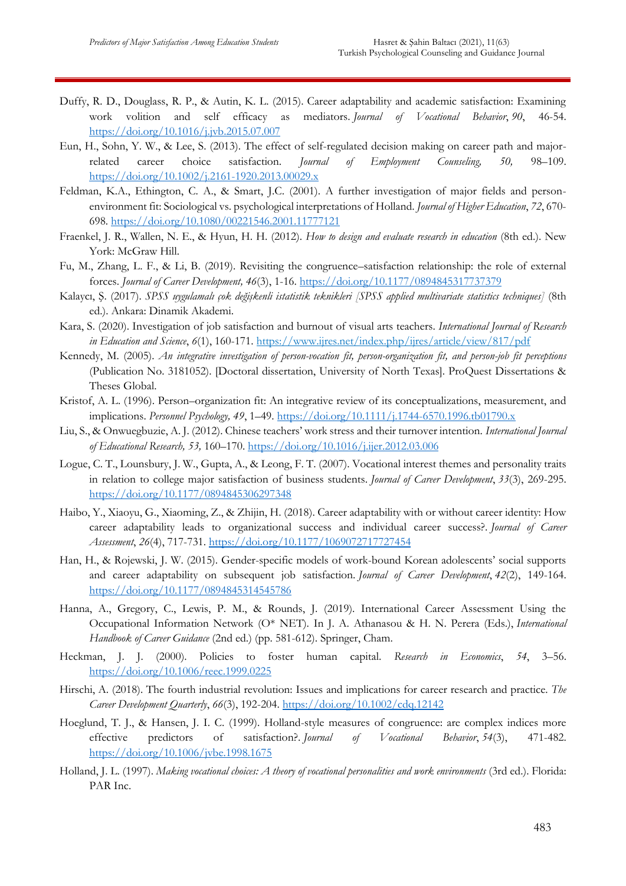- Duffy, R. D., Douglass, R. P., & Autin, K. L. (2015). Career adaptability and academic satisfaction: Examining work volition and self efficacy as mediators. *Journal of Vocational Behavior*, *90*, 46-54. <https://doi.org/10.1016/j.jvb.2015.07.007>
- Eun, H., Sohn, Y. W., & Lee, S. (2013). The effect of self-regulated decision making on career path and majorrelated career choice satisfaction. *Journal of Employment Counseling, 50,* 98–109. <https://doi.org/10.1002/j.2161-1920.2013.00029.x>
- Feldman, K.A., Ethington, C. A., & Smart, J.C. (2001). A further investigation of major fields and personenvironment fit: Sociological vs. psychological interpretations of Holland. *Journal of Higher Education*, *72*, 670- 698.<https://doi.org/10.1080/00221546.2001.11777121>
- Fraenkel, J. R., Wallen, N. E., & Hyun, H. H. (2012). *How to design and evaluate research in education* (8th ed.). New York: McGraw Hill.
- Fu, M., Zhang, L. F., & Li, B. (2019). Revisiting the congruence–satisfaction relationship: the role of external forces. *Journal of Career Development, 46*(3), 1-16. [https://doi.org/10.1177/0894845317737379](https://doi.org/10.1177%2F0894845317737379)
- Kalaycı, Ş. (2017). *SPSS uygulamalı çok değişkenli istatistik teknikleri [SPSS applied multivariate statistics techniques]* (8th ed.). Ankara: Dinamik Akademi.
- Kara, S. (2020). Investigation of job satisfaction and burnout of visual arts teachers. *International Journal of Research in Education and Science*, *6*(1), 160-171.<https://www.ijres.net/index.php/ijres/article/view/817/pdf>
- Kennedy, M. (2005). *An integrative investigation of person-vocation fit, person-organization fit, and person-job fit perceptions*  (Publication No. 3181052). [Doctoral dissertation, University of North Texas]. ProQuest Dissertations & Theses Global.
- Kristof, A. L. (1996). Person–organization fit: An integrative review of its conceptualizations, measurement, and implications. *Personnel Psychology, 49*, 1–49.<https://doi.org/10.1111/j.1744-6570.1996.tb01790.x>
- Liu, S., & Onwuegbuzie, A. J. (2012). Chinese teachers' work stress and their turnover intention. *International Journal of Educational Research, 53,* 160–170.<https://doi.org/10.1016/j.ijer.2012.03.006>
- Logue, C. T., Lounsbury, J. W., Gupta, A., & Leong, F. T. (2007). Vocational interest themes and personality traits in relation to college major satisfaction of business students. *Journal of Career Development*, *33*(3), 269-295. [https://doi.org/10.1177/0894845306297348](https://doi.org/10.1177%2F0894845306297348)
- Haibo, Y., Xiaoyu, G., Xiaoming, Z., & Zhijin, H. (2018). Career adaptability with or without career identity: How career adaptability leads to organizational success and individual career success?. *Journal of Career Assessment*, *26*(4), 717-731. [https://doi.org/10.1177/1069072717727454](https://doi.org/10.1177%2F1069072717727454)
- Han, H., & Rojewski, J. W. (2015). Gender-specific models of work-bound Korean adolescents' social supports and career adaptability on subsequent job satisfaction. *Journal of Career Development*, *42*(2), 149-164. [https://doi.org/10.1177/0894845314545786](https://doi.org/10.1177%2F0894845314545786)
- Hanna, A., Gregory, C., Lewis, P. M., & Rounds, J. (2019). International Career Assessment Using the Occupational Information Network (O\* NET). In J. A. Athanasou & H. N. Perera (Eds.), *International Handbook of Career Guidance* (2nd ed.) (pp. 581-612). Springer, Cham.
- Heckman, J. J. (2000). Policies to foster human capital. *Research in Economics*, *54*, 3–56. <https://doi.org/10.1006/reec.1999.0225>
- Hirschi, A. (2018). The fourth industrial revolution: Issues and implications for career research and practice. *The Career Development Quarterly*, *66*(3), 192-204.<https://doi.org/10.1002/cdq.12142>
- Hoeglund, T. J., & Hansen, J. I. C. (1999). Holland-style measures of congruence: are complex indices more effective predictors of satisfaction?. *Journal of Vocational Behavior*, *54*(3), 471-482. <https://doi.org/10.1006/jvbe.1998.1675>
- Holland, J. L. (1997). *Making vocational choices: A theory of vocational personalities and work environments* (3rd ed.). Florida: PAR Inc.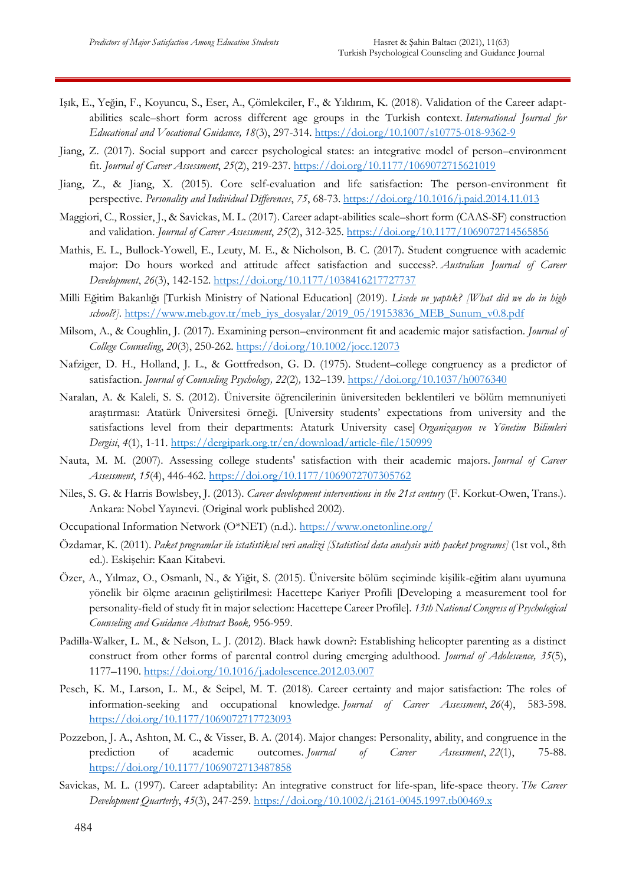- Işık, E., Yeğin, F., Koyuncu, S., Eser, A., Çömlekciler, F., & Yıldırım, K. (2018). Validation of the Career adaptabilities scale–short form across different age groups in the Turkish context. *International Journal for Educational and Vocational Guidance, 18*(3), 297-314.<https://doi.org/10.1007/s10775-018-9362-9>
- Jiang, Z. (2017). Social support and career psychological states: an integrative model of person–environment fit. *Journal of Career Assessment*, *25*(2), 219-237. [https://doi.org/10.1177/1069072715621019](https://doi.org/10.1177%2F1069072715621019)
- Jiang, Z., & Jiang, X. (2015). Core self-evaluation and life satisfaction: The person-environment fit perspective. *Personality and Individual Differences*, *75*, 68-73.<https://doi.org/10.1016/j.paid.2014.11.013>
- Maggiori, C., Rossier, J., & Savickas, M. L. (2017). Career adapt-abilities scale–short form (CAAS-SF) construction and validation. *Journal of Career Assessment*, *25*(2), 312-325. [https://doi.org/10.1177/1069072714565856](https://doi.org/10.1177%2F1069072714565856)
- Mathis, E. L., Bullock-Yowell, E., Leuty, M. E., & Nicholson, B. C. (2017). Student congruence with academic major: Do hours worked and attitude affect satisfaction and success?. *Australian Journal of Career Development*, *26*(3), 142-152. [https://doi.org/10.1177/1038416217727737](https://doi.org/10.1177%2F1038416217727737)
- Milli Eğitim Bakanlığı [Turkish Ministry of National Education] (2019). *Lisede ne yaptık? [What did we do in high school?].* [https://www.meb.gov.tr/meb\\_iys\\_dosyalar/2019\\_05/19153836\\_MEB\\_Sunum\\_v0.8.pdf](https://www.meb.gov.tr/meb_iys_dosyalar/2019_05/19153836_MEB_Sunum_v0.8.pdf)
- Milsom, A., & Coughlin, J. (2017). Examining person–environment fit and academic major satisfaction. *Journal of College Counseling*, *20*(3), 250-262.<https://doi.org/10.1002/jocc.12073>
- Nafziger, D. H., Holland, J. L., & Gottfredson, G. D. (1975). Student–college congruency as a predictor of satisfaction. *Journal of Counseling Psychology, 22*(2)*,* 132–139. [https://doi.org/10.1037/h0076340](https://psycnet.apa.org/doi/10.1037/h0076340)
- Naralan, A. & Kaleli, S. S. (2012). Üniversite öğrencilerinin üniversiteden beklentileri ve bölüm memnuniyeti araştırması: Atatürk Üniversitesi örneği. [University students' expectations from university and the satisfactions level from their departments: Ataturk University case] *Organizasyon ve Yönetim Bilimleri Dergisi*, *4*(1), 1-11.<https://dergipark.org.tr/en/download/article-file/150999>
- Nauta, M. M. (2007). Assessing college students' satisfaction with their academic majors. *Journal of Career Assessment*, *15*(4), 446-462. [https://doi.org/10.1177/1069072707305762](https://doi.org/10.1177%2F1069072707305762)
- Niles, S. G. & Harris Bowlsbey, J. (2013). *Career development interventions in the 21st century* (F. Korkut-Owen, Trans.). Ankara: Nobel Yayınevi. (Original work published 2002).
- Occupational Information Network (O\*NET) (n.d.).<https://www.onetonline.org/>
- Özdamar, K. (2011). *Paket programlar ile istatistiksel veri analizi [Statistical data analysis with packet programs]* (1st vol., 8th ed.). Eskişehir: Kaan Kitabevi.
- Özer, A., Yılmaz, O., Osmanlı, N., & Yiğit, S. (2015). Üniversite bölüm seçiminde kişilik-eğitim alanı uyumuna yönelik bir ölçme aracının geliştirilmesi: Hacettepe Kariyer Profili [Developing a measurement tool for personality-field of study fit in major selection: Hacettepe Career Profile]. *13th National Congress of Psychological Counseling and Guidance Abstract Book,* 956-959.
- Padilla-Walker, L. M., & Nelson, L. J. (2012). Black hawk down?: Establishing helicopter parenting as a distinct construct from other forms of parental control during emerging adulthood. *Journal of Adolescence, 35*(5), 1177–1190.<https://doi.org/10.1016/j.adolescence.2012.03.007>
- Pesch, K. M., Larson, L. M., & Seipel, M. T. (2018). Career certainty and major satisfaction: The roles of information-seeking and occupational knowledge. *Journal of Career Assessment*, *26*(4), 583-598. <https://doi.org/10.1177/1069072717723093>
- Pozzebon, J. A., Ashton, M. C., & Visser, B. A. (2014). Major changes: Personality, ability, and congruence in the prediction of academic outcomes. *Journal of Career Assessment*, *22*(1), 75-88. [https://doi.org/10.1177/1069072713487858](https://doi.org/10.1177%2F1069072713487858)
- Savickas, M. L. (1997). Career adaptability: An integrative construct for life-span, life-space theory. *The Career Development Quarterly*, *45*(3), 247-259.<https://doi.org/10.1002/j.2161-0045.1997.tb00469.x>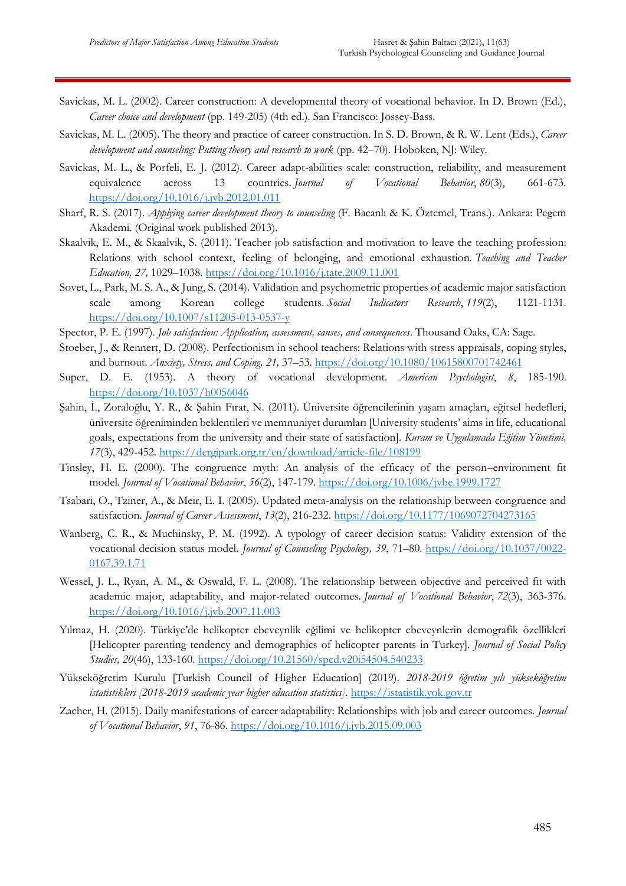- Savickas, M. L. (2002). Career construction: A developmental theory of vocational behavior. In D. Brown (Ed.), *Career choice and development* (pp. 149-205) (4th ed.). San Francisco: Jossey-Bass.
- Savickas, M. L. (2005). The theory and practice of career construction. In S. D. Brown, & R. W. Lent (Eds.), *Career development and counseling: Putting theory and research to work* (pp. 42–70). Hoboken, NJ: Wiley.
- Savickas, M. L., & Porfeli, E. J. (2012). Career adapt-abilities scale: construction, reliability, and measurement equivalence across 13 countries. *Journal of Vocational Behavior*, *80*(3), 661-673. <https://doi.org/10.1016/j.jvb.2012.01.011>
- Sharf, R. S. (2017). *Applying career development theory to counseling* (F. Bacanlı & K. Öztemel, Trans.). Ankara: Pegem Akademi. (Original work published 2013).
- Skaalvik, E. M., & Skaalvik, S. (2011). Teacher job satisfaction and motivation to leave the teaching profession: Relations with school context, feeling of belonging, and emotional exhaustion. *Teaching and Teacher Education, 27,* 1029–1038.<https://doi.org/10.1016/j.tate.2009.11.001>
- Sovet, L., Park, M. S. A., & Jung, S. (2014). Validation and psychometric properties of academic major satisfaction scale among Korean college students. *Social Indicators Research*, *119*(2), 1121-1131. <https://doi.org/10.1007/s11205-013-0537-y>
- Spector, P. E. (1997). *Job satisfaction: Application, assessment, causes, and consequences*. Thousand Oaks, CA: Sage.
- Stoeber, J., & Rennert, D. (2008). Perfectionism in school teachers: Relations with stress appraisals, coping styles, and burnout. *Anxiety, Stress, and Coping, 21,* 37–53. <https://doi.org/10.1080/10615800701742461>
- Super, D. E. (1953). A theory of vocational development. *American Psychologist*, *8*, 185-190. [https://doi.org/10.1037/h0056046](https://psycnet.apa.org/doi/10.1037/h0056046)
- Şahin, İ., Zoraloğlu, Y. R., & Şahin Fırat, N. (2011). Üniversite öğrencilerinin yaşam amaçları, eğitsel hedefleri, üniversite öğreniminden beklentileri ve memnuniyet durumları [University students' aims in life, educational goals, expectations from the university and their state of satisfaction]. *Kuram ve Uygulamada Eğitim Yönetimi, 17*(3), 429-452. https://dergipark.org.tr/en/download/article-file/108199
- Tinsley, H. E. (2000). The congruence myth: An analysis of the efficacy of the person–environment fit model. *Journal of Vocational Behavior*, *56*(2), 147-179.<https://doi.org/10.1006/jvbe.1999.1727>
- Tsabari, O., Tziner, A., & Meir, E. I. (2005). Updated meta-analysis on the relationship between congruence and satisfaction. *Journal of Career Assessment*, *13*(2), 216-232. [https://doi.org/10.1177/1069072704273165](https://doi.org/10.1177%2F1069072704273165)
- Wanberg, C. R., & Muchinsky, P. M. (1992). A typology of career decision status: Validity extension of the vocational decision status model. *Journal of Counseling Psychology, 39*, 71–80. [https://doi.org/10.1037/0022-](https://psycnet.apa.org/doi/10.1037/0022-0167.39.1.71) [0167.39.1.71](https://psycnet.apa.org/doi/10.1037/0022-0167.39.1.71)
- Wessel, J. L., Ryan, A. M., & Oswald, F. L. (2008). The relationship between objective and perceived fit with academic major, adaptability, and major-related outcomes. *Journal of Vocational Behavior*, *72*(3), 363-376. <https://doi.org/10.1016/j.jvb.2007.11.003>
- Yılmaz, H. (2020). Türkiye'de helikopter ebeveynlik eğilimi ve helikopter ebeveynlerin demografik özellikleri [Helicopter parenting tendency and demographics of helicopter parents in Turkey]. *Journal of Social Policy Studies, 20*(46), 133-160.<https://doi.org/10.21560/spcd.v20i54504.540233>
- Yükseköğretim Kurulu [Turkish Council of Higher Education] (2019). *2018-2019 öğretim yılı yükseköğretim istatistikleri [2018-2019 academic year higher education statistics].* [https://istatistik.yok.gov.tr](https://istatistik.yok.gov.tr/)
- Zacher, H. (2015). Daily manifestations of career adaptability: Relationships with job and career outcomes. *Journal of Vocational Behavior*, *91*, 76-86.<https://doi.org/10.1016/j.jvb.2015.09.003>